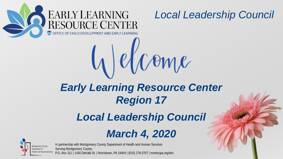

## *Early Learning Resource Center Region 17*

 $U$ elcome

### *Local Leadership Council*

### *March 4, 2020*



In partnership with Montgomery County Department of Health and Human Services

Serving Montgomery County P.O. Box 311 | 1430 DeKalb St. | Norristown, PA 19404 | (610) 278-3707 | montcopa.org/elrc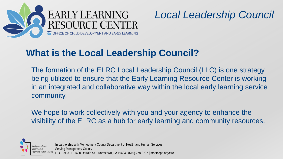

### **What is the Local Leadership Council?**

The formation of the ELRC Local Leadership Council (LLC) is one strategy being utilized to ensure that the Early Learning Resource Center is working in an integrated and collaborative way within the local early learning service community.

We hope to work collectively with you and your agency to enhance the visibility of the ELRC as a hub for early learning and community resources.



In partnership with Montgomery County Department of Health and Human Services

Serving Montgomery County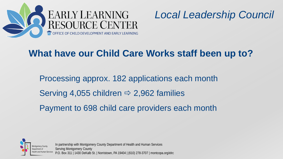

### **What have our Child Care Works staff been up to?**

Processing approx. 182 applications each month Serving 4,055 children  $\Rightarrow$  2,962 families Payment to 698 child care providers each month



In partnership with Montgomery County Department of Health and Human Services Serving Montgomery County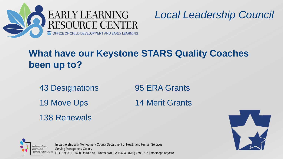



### **What have our Keystone STARS Quality Coaches been up to?**

43 Designations 95 ERA Grants 19 Move Ups 14 Merit Grants 138 Renewals



In partnership with Montgomery County Department of Health and Human Services Serving Montgomery County P.O. Box 311 | 1430 DeKalb St. | Norristown, PA 19404 | (610) 278-3707 | montcopa.org/elrc

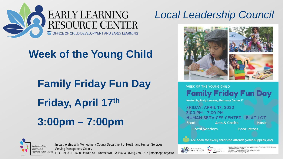

### **Week of the Young Child**

# **Family Friday Fun Day Friday, April 17th 3:00pm – 7:00pm**



In partnership with Montgomery County Department of Health and Human Services Serving Montgomery County

P.O. Box 311 | 1430 DeKalb St. | Norristown, PA 19404 | (610) 278-3707 | montcopa.org/elrc

### *Local Leadership Council*



**WEEK OF THE YOUNG CHILD Family Friday Fun Day Hosted by Early Learning Resource Center 17** 

FRIDAY, APRIL 17, 2020 3:00 PM - 7:00 PM HUMAN SERVICES CENTER - FLAT LOT Food **Arts & Crafts Music** 

**Local vendors** 

**Door Prizes** 

Free book for every child who attends (while supplies last)



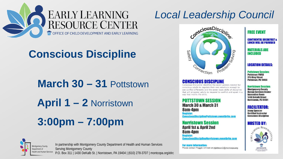

### **Conscious Discipline**

**March 30 – 31** Pottstown

**April 1 – 2** Norristown

**3:00pm – 7:00pm**



In partnership with Montgomery County Department of Health and Human Services Serving Montgomery County

P.O. Box 311 | 1430 DeKalb St. | Norristown, PA 19404 | (610) 278-3707 | montcopa.org/elrc

### *Local Leadership Council*



Conscious Discipline identifies the seven powers needed for conscious adults to regulate their own emotions enough to see conflict differently and the seven basic skills of discipline that will empower adults to respond to conflict and upset in a way that instills life skills.

POTTSTOWN SESSION **March 30 & March 31** 8am-4nm nsciousDisciplinePottstown.eventbrite.com

**Norristown Session April 1st & April 2nd** 8am-4pm **Register:** sciousDisciplineNorristown.eventbrite.com

For more information: Please contact Maggie Johnson at mjohnson2@montcopa.org

### **FREE EVENT**

**CONTINENTAL BREAKFAST & LUNCH WILL BE PROVIDED** 

**MATERIALS ARE INCLUDED** 

### **LOCATION DETAILS:**

**Pottstown Session: Pottstown YWCA 315 King Street** Pottstown, PA 19464

**Norristown Session: Montgomery County Human Services Center Innovation Room 1430 Dekalb Street** 

Norristown, PA 19401

**FACILITATOR:** 

**Jenny Spencer Certified Instructor Conscious Discipline** 

### **HOSTED BY**

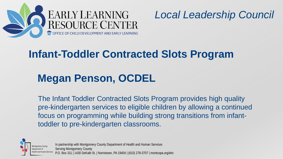

### **Infant-Toddler Contracted Slots Program**

### **Megan Penson, OCDEL**

The Infant Toddler Contracted Slots Program provides high quality pre-kindergarten services to eligible children by allowing a continued focus on programming while building strong transitions from infanttoddler to pre-kindergarten classrooms.



In partnership with Montgomery County Department of Health and Human Services Serving Montgomery County P.O. Box 311 | 1430 DeKalb St. | Norristown, PA 19404 | (610) 278-3707 | montcopa.org/elrc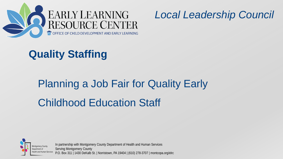



### **Quality Staffing**

# Planning a Job Fair for Quality Early Childhood Education Staff



In partnership with Montgomery County Department of Health and Human Services Serving Montgomery County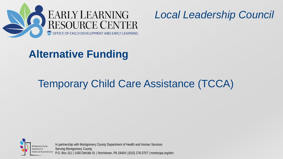



### **Alternative Funding**

## Temporary Child Care Assistance (TCCA)



In partnership with Montgomery County Department of Health and Human Services Serving Montgomery County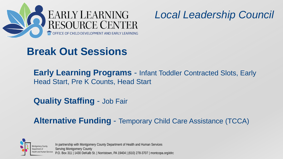



### **Break Out Sessions**

**Early Learning Programs** - Infant Toddler Contracted Slots, Early Head Start, Pre K Counts, Head Start

**Quality Staffing** - Job Fair

**Alternative Funding** - Temporary Child Care Assistance (TCCA)



In partnership with Montgomery County Department of Health and Human Services Serving Montgomery County P.O. Box 311 | 1430 DeKalb St. | Norristown, PA 19404 | (610) 278-3707 | montcopa.org/elrc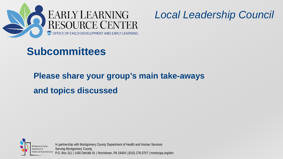



### **Subcommittees**

### **Please share your group's main take-aways and topics discussed**



In partnership with Montgomery County Department of Health and Human Services Serving Montgomery County